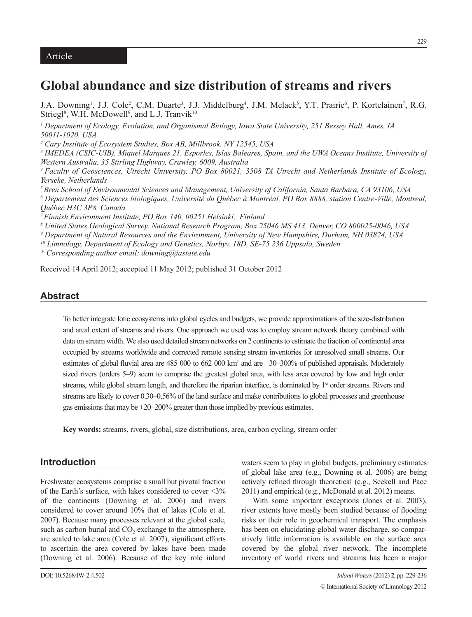# **Global abundance and size distribution of streams and rivers**

J.A. Downing<sup>1</sup>, J.J. Cole<sup>2</sup>, C.M. Duarte<sup>3</sup>, J.J. Middelburg<sup>4</sup>, J.M. Melack<sup>5</sup>, Y.T. Prairie<sup>6</sup>, P. Kortelainen<sup>7</sup>, R.G. Striegl<sup>8</sup>, W.H. McDowell<sup>9</sup>, and L.J. Tranvik<sup>10</sup>

*1 Department of Ecology, Evolution, and Organismal Biology, Iowa State University, 251 Bessey Hall, Ames, IA 50011-1020, USA*

*2 Cary Institute of Ecosystem Studies, Box AB, Millbrook, NY 12545, USA*

*3 IMEDEA (CSIC-UIB), Miquel Marques 21, Esporles, Islas Baleares, Spain, and the UWA Oceans Institute, University of Western Australia, 35 Stirling Highway, Crawley, 6009, Australia*

*4 Faculty of Geosciences, Utrecht University, PO Box 80021, 3508 TA Utrecht and Netherlands Institute of Ecology, Yerseke, Netherlands*

*5 Bren School of Environmental Sciences and Management, University of California, Santa Barbara, CA 93106, USA*

*6 Département des Sciences biologiques, Université du Québec à Montréal, PO Box 8888, station Centre-Ville, Montreal, Québec H3C 3P8, Canada*

*7 Finnish Environment Institute, PO Box 140, 00251 Helsinki, Finland*

*8 United States Geological Survey, National Research Program, Box 25046 MS 413, Denver, CO 800025-0046, USA*

*9 Department of Natural Resources and the Environment, University of New Hampshire, Durham, NH 03824, USA*

*10 Limnology, Department of Ecology and Genetics, Norbyv. 18D, SE-75 236 Uppsala, Sweden*

*\* Corresponding author email: downing@iastate.edu*

Received 14 April 2012; accepted 11 May 2012; published 31 October 2012

# **Abstract**

To better integrate lotic ecosystems into global cycles and budgets, we provide approximations of the size-distribution and areal extent of streams and rivers. One approach we used was to employ stream network theory combined with data on stream width. We also used detailed stream networks on 2 continents to estimate the fraction of continental area occupied by streams worldwide and corrected remote sensing stream inventories for unresolved small streams. Our estimates of global fluvial area are 485 000 to 662 000 km<sup>2</sup> and are +30–300% of published appraisals. Moderately sized rivers (orders 5–9) seem to comprise the greatest global area, with less area covered by low and high order streams, while global stream length, and therefore the riparian interface, is dominated by 1<sup>st</sup> order streams. Rivers and streams are likely to cover 0.30–0.56% of the land surface and make contributions to global processes and greenhouse gas emissions that may be +20–200% greater than those implied by previous estimates.

**Key words:** streams, rivers, global, size distributions, area, carbon cycling, stream order

# **Introduction**

Freshwater ecosystems comprise a small but pivotal fraction of the Earth's surface, with lakes considered to cover  $\leq 3\%$ of the continents (Downing et al. 2006) and rivers considered to cover around 10% that of lakes (Cole et al. 2007). Because many processes relevant at the global scale, such as carbon burial and  $CO<sub>2</sub>$  exchange to the atmosphere, are scaled to lake area (Cole et al. 2007), significant efforts to ascertain the area covered by lakes have been made (Downing et al. 2006). Because of the key role inland waters seem to play in global budgets, preliminary estimates of global lake area (e.g., Downing et al. 2006) are being actively refined through theoretical (e.g., Seekell and Pace 2011) and empirical (e.g., McDonald et al. 2012) means.

With some important exceptions (Jones et al. 2003), river extents have mostly been studied because of flooding risks or their role in geochemical transport. The emphasis has been on elucidating global water discharge, so comparatively little information is available on the surface area covered by the global river network. The incomplete inventory of world rivers and streams has been a major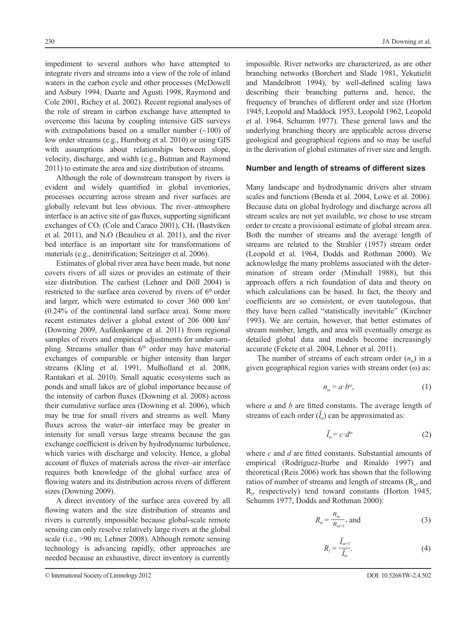impediment to several authors who have attempted to integrate rivers and streams into a view of the role of inland waters in the carbon cycle and other processes (McDowell and Asbury 1994, Duarte and Agusti 1998, Raymond and Cole 2001, Richey et al. 2002). Recent regional analyses of the role of stream in carbon exchange have attempted to overcome this lacuna by coupling intensive GIS surveys with extrapolations based on a smaller number  $(\sim 100)$  of low order streams (e.g., Humborg et al. 2010) or using GIS with assumptions about relationships between slope, velocity, discharge, and width (e.g., Butman and Raymond 2011) to estimate the area and size distribution of streams.

Although the role of downstream transport by rivers is evident and widely quantified in global inventories, processes occurring across stream and river surfaces are globally relevant but less obvious. The river–atmosphere interface is an active site of gas fluxes, supporting significant exchanges of  $CO<sub>2</sub>$  (Cole and Caraco 2001), CH<sub>4</sub> (Bastviken et al. 2011), and  $N_2O$  (Beaulieu et al. 2011), and the river bed interface is an important site for transformations of materials (e.g., denitrification; Seitzinger et al. 2006).

Estimates of global river area have been made, but none covers rivers of all sizes or provides an estimate of their size distribution. The earliest (Lehner and Döll 2004) is restricted to the surface area covered by rivers of  $6<sup>th</sup>$  order and larger, which were estimated to cover 360 000 km2 (0.24% of the continental land surface area). Some more recent estimates deliver a global extent of 206 000 km2 (Downing 2009, Aufdenkampe et al. 2011) from regional samples of rivers and empirical adjustments for under-sampling. Streams smaller than  $6<sup>th</sup>$  order may have material exchanges of comparable or higher intensity than larger streams (Kling et al. 1991, Mulholland et al. 2008, Rantakari et al. 2010). Small aquatic ecosystems such as ponds and small lakes are of global importance because of the intensity of carbon fluxes (Downing et al. 2008) across their cumulative surface area (Downing et al. 2006), which may be true for small rivers and streams as well. Many fluxes across the water–air interface may be greater in intensity for small versus large streams because the gas exchange coefficient is driven by hydrodynamic turbulence, which varies with discharge and velocity. Hence, a global account of fluxes of materials across the river–air interface requires both knowledge of the global surface area of flowing waters and its distribution across rivers of different sizes (Downing 2009).

A direct inventory of the surface area covered by all flowing waters and the size distribution of streams and rivers is currently impossible because global-scale remote sensing can only resolve relatively large rivers at the global scale (i.e., >90 m; Lehner 2008). Although remote sensing technology is advancing rapidly, other approaches are needed because an exhaustive, direct inventory is currently

© International Society of Limnology 2012

impossible. River networks are characterized, as are other branching networks (Borchert and Slade 1981, Yekutielit and Mandelbrott 1994), by well-defined scaling laws describing their branching patterns and, hence, the frequency of branches of different order and size (Horton 1945, Leopold and Maddock 1953, Leopold 1962, Leopold et al. 1964, Schumm 1977). These general laws and the underlying branching theory are applicable across diverse geological and geographical regions and so may be useful in the derivation of global estimates of river size and length.

#### **Number and length of streams of different sizes**

Many landscape and hydrodynamic drivers alter stream scales and functions (Benda et al. 2004, Lowe et al. 2006). Because data on global hydrology and discharge across all stream scales are not yet available, we chose to use stream order to create a provisional estimate of global stream area. Both the number of streams and the average length of streams are related to the Strahler (1957) stream order (Leopold et al. 1964, Dodds and Rothman 2000). We acknowledge the many problems associated with the determination of stream order (Minshall 1988), but this approach offers a rich foundation of data and theory on which calculations can be based. In fact, the theory and coefficients are so consistent, or even tautologous, that they have been called "statistically inevitable" (Kirchner 1993). We are certain, however, that better estimates of stream number, length, and area will eventually emerge as detailed global data and models become increasingly accurate (Fekete et al. 2004, Lehner et al. 2011).

The number of streams of each stream order  $(n_0)$  in a given geographical region varies with stream order  $(\omega)$  as:

$$
n_{\omega} = a \cdot b^{\omega},\tag{1}
$$

where *a* and *b* are fitted constants. The average length of streams of each order  $(l_0)$  can be approximated as:

$$
\bar{l}_{\omega} = c \cdot d^{\omega} \tag{2}
$$

where *c* and *d* are fitted constants. Substantial amounts of empirical (Rodríguez-Iturbe and Rinaldo 1997) and theoretical (Reis 2006) work has shown that the following ratios of number of streams and length of streams  $(R_n,$  and  $R<sub>i</sub>$ , respectively) tend toward constants (Horton 1945, Schumm 1977, Dodds and Rothman 2000):

$$
R_{n} = \frac{n_{\omega}}{n_{\omega+1}}, \text{ and}
$$
 (3)

$$
R_i = \frac{l_{\omega+1}}{\bar{l}_{\omega}}.\tag{4}
$$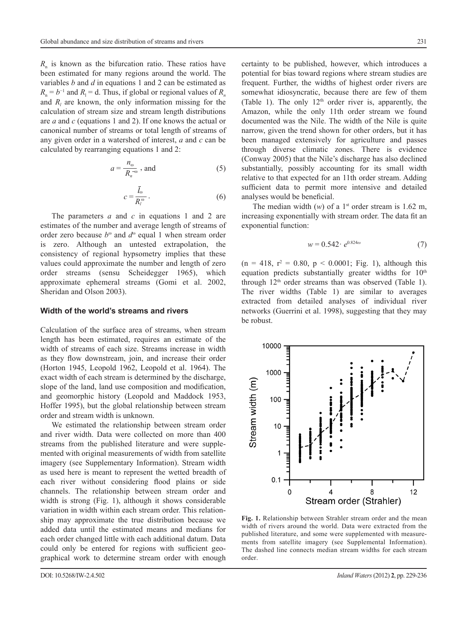*R*<sub>n</sub> is known as the bifurcation ratio. These ratios have been estimated for many regions around the world. The variables *b* and *d* in equations 1 and 2 can be estimated as  $R_n = b^{-1}$  and  $R_1 = d$ . Thus, if global or regional values of  $R_n$ and  $R_l$  are known, the only information missing for the calculation of stream size and stream length distributions are *a* and *c* (equations 1 and 2). If one knows the actual or canonical number of streams or total length of streams of any given order in a watershed of interest, *a* and *c* can be calculated by rearranging equations 1 and 2:

$$
a = \frac{n_{\omega}}{R_n^{-\omega}} \text{, and} \tag{5}
$$

$$
c = \frac{\bar{l}_{\omega}}{R_{l}^{\omega}}.
$$
 (6)

The parameters *a* and *c* in equations 1 and 2 are estimates of the number and average length of streams of order zero because *b*<sup>ω</sup> and *d*<sup>ω</sup> equal 1 when stream order is zero. Although an untested extrapolation, the consistency of regional hypsometry implies that these values could approximate the number and length of zero order streams (sensu Scheidegger 1965), which approximate ephemeral streams (Gomi et al. 2002, Sheridan and Olson 2003).

#### **Width of the world's streams and rivers**

Calculation of the surface area of streams, when stream length has been estimated, requires an estimate of the width of streams of each size. Streams increase in width as they flow downstream, join, and increase their order (Horton 1945, Leopold 1962, Leopold et al. 1964). The exact width of each stream is determined by the discharge, slope of the land, land use composition and modification, and geomorphic history (Leopold and Maddock 1953, Hoffer 1995), but the global relationship between stream order and stream width is unknown.

We estimated the relationship between stream order and river width. Data were collected on more than 400 streams from the published literature and were supplemented with original measurements of width from satellite imagery (see Supplementary Information). Stream width as used here is meant to represent the wetted breadth of each river without considering flood plains or side channels. The relationship between stream order and width is strong (Fig. 1), although it shows considerable variation in width within each stream order. This relationship may approximate the true distribution because we added data until the estimated means and medians for each order changed little with each additional datum. Data could only be entered for regions with sufficient geographical work to determine stream order with enough certainty to be published, however, which introduces a potential for bias toward regions where stream studies are frequent. Further, the widths of highest order rivers are somewhat idiosyncratic, because there are few of them (Table 1). The only  $12<sup>th</sup>$  order river is, apparently, the Amazon, while the only 11th order stream we found documented was the Nile. The width of the Nile is quite narrow, given the trend shown for other orders, but it has been managed extensively for agriculture and passes through diverse climatic zones. There is evidence (Conway 2005) that the Nile's discharge has also declined substantially, possibly accounting for its small width relative to that expected for an 11th order stream. Adding sufficient data to permit more intensive and detailed analyses would be beneficial.

The median width  $(w)$  of a 1<sup>st</sup> order stream is 1.62 m, increasing exponentially with stream order. The data fit an exponential function:

$$
w = 0.542 \cdot e^{0.824\omega} \tag{7}
$$

 $(n = 418, r<sup>2</sup> = 0.80, p < 0.0001; Fig. 1)$ , although this equation predicts substantially greater widths for  $10<sup>th</sup>$ through  $12<sup>th</sup>$  order streams than was observed (Table 1). The river widths (Table 1) are similar to averages extracted from detailed analyses of individual river networks (Guerrini et al. 1998), suggesting that they may be robust.



**Fig. 1.** Relationship between Strahler stream order and the mean width of rivers around the world. Data were extracted from the published literature, and some were supplemented with measurements from satellite imagery (see Supplemental Information). The dashed line connects median stream widths for each stream order.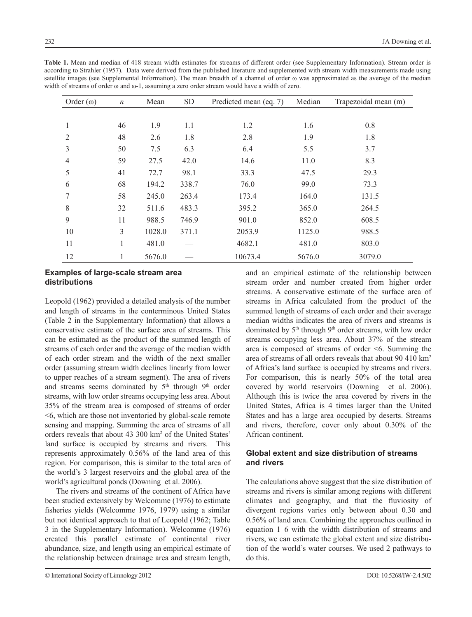| Order $(\omega)$ | $\boldsymbol{n}$ | Mean   | SD    | Predicted mean (eq. 7) | Median | Trapezoidal mean (m) |
|------------------|------------------|--------|-------|------------------------|--------|----------------------|
|                  |                  |        |       |                        |        |                      |
| 1                | 46               | 1.9    | 1.1   | 1.2                    | 1.6    | 0.8                  |
| 2                | 48               | 2.6    | 1.8   | 2.8                    | 1.9    | 1.8                  |
| 3                | 50               | 7.5    | 6.3   | 6.4                    | 5.5    | 3.7                  |
| $\overline{4}$   | 59               | 27.5   | 42.0  | 14.6                   | 11.0   | 8.3                  |
| 5                | 41               | 72.7   | 98.1  | 33.3                   | 47.5   | 29.3                 |
| 6                | 68               | 194.2  | 338.7 | 76.0                   | 99.0   | 73.3                 |
| 7                | 58               | 245.0  | 263.4 | 173.4                  | 164.0  | 131.5                |
| 8                | 32               | 511.6  | 483.3 | 395.2                  | 365.0  | 264.5                |
| 9                | 11               | 988.5  | 746.9 | 901.0                  | 852.0  | 608.5                |
| 10               | 3                | 1028.0 | 371.1 | 2053.9                 | 1125.0 | 988.5                |
| 11               | 1                | 481.0  |       | 4682.1                 | 481.0  | 803.0                |
| 12               |                  | 5676.0 |       | 10673.4                | 5676.0 | 3079.0               |

**Table 1.** Mean and median of 418 stream width estimates for streams of different order (see Supplementary Information). Stream order is according to Strahler (1957). Data were derived from the published literature and supplemented with stream width measurements made using satellite images (see Supplemental Information). The mean breadth of a channel of order ω was approximated as the average of the median width of streams of order ω and ω-1, assuming a zero order stream would have a width of zero.

## **Examples of large-scale stream area distributions**

Leopold (1962) provided a detailed analysis of the number and length of streams in the conterminous United States (Table 2 in the Supplementary Information) that allows a conservative estimate of the surface area of streams. This can be estimated as the product of the summed length of streams of each order and the average of the median width of each order stream and the width of the next smaller order (assuming stream width declines linearly from lower to upper reaches of a stream segment). The area of rivers and streams seems dominated by  $5<sup>th</sup>$  through  $9<sup>th</sup>$  order streams, with low order streams occupying less area. About 35% of the stream area is composed of streams of order <6, which are those not inventoried by global-scale remote sensing and mapping. Summing the area of streams of all orders reveals that about 43 300 km<sup>2</sup> of the United States' land surface is occupied by streams and rivers. This represents approximately 0.56% of the land area of this region. For comparison, this is similar to the total area of the world's 3 largest reservoirs and the global area of the world's agricultural ponds (Downing et al. 2006).

The rivers and streams of the continent of Africa have been studied extensively by Welcomme (1976) to estimate fisheries yields (Welcomme 1976, 1979) using a similar but not identical approach to that of Leopold (1962; Table 3 in the Supplementary Information). Welcomme (1976) created this parallel estimate of continental river abundance, size, and length using an empirical estimate of the relationship between drainage area and stream length, and an empirical estimate of the relationship between stream order and number created from higher order streams. A conservative estimate of the surface area of streams in Africa calculated from the product of the summed length of streams of each order and their average median widths indicates the area of rivers and streams is dominated by 5<sup>th</sup> through 9<sup>th</sup> order streams, with low order streams occupying less area. About 37% of the stream area is composed of streams of order <6. Summing the area of streams of all orders reveals that about 90 410 km2 of Africa's land surface is occupied by streams and rivers. For comparison, this is nearly 50% of the total area covered by world reservoirs (Downing et al. 2006). Although this is twice the area covered by rivers in the United States, Africa is 4 times larger than the United States and has a large area occupied by deserts. Streams and rivers, therefore, cover only about 0.30% of the African continent.

### **Global extent and size distribution of streams and rivers**

The calculations above suggest that the size distribution of streams and rivers is similar among regions with different climates and geography, and that the fluviosity of divergent regions varies only between about 0.30 and 0.56% of land area. Combining the approaches outlined in equation 1–6 with the width distribution of streams and rivers, we can estimate the global extent and size distribution of the world's water courses. We used 2 pathways to do this.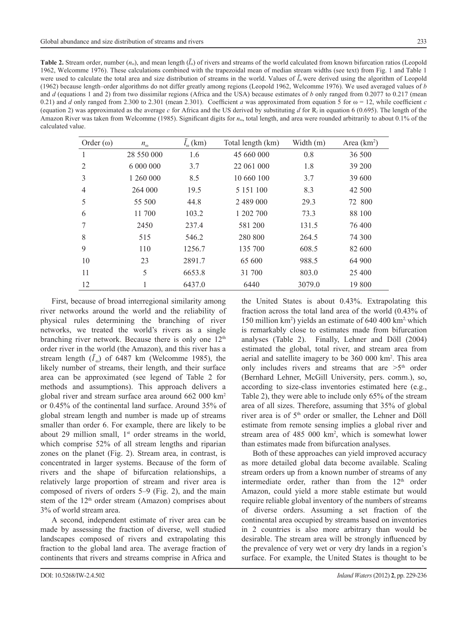| <b>Table 2.</b> Stream order, number $(n_0)$ , and mean length $(l_0)$ of rivers and streams of the world calculated from known bifurcation ratios (Leopold |
|-------------------------------------------------------------------------------------------------------------------------------------------------------------|
| 1962, Welcomme 1976). These calculations combined with the trapezoidal mean of median stream widths (see text) from Fig. 1 and Table 1                      |
| were used to calculate the total area and size distribution of streams in the world. Values of $l_{\rm o}$ were derived using the algorithm of Leopold      |
| (1962) because length–order algorithms do not differ greatly among regions (Leopold 1962, Welcomme 1976). We used averaged values of b                      |
| and d (equations 1 and 2) from two dissimilar regions (Africa and the USA) because estimates of b only ranged from 0.2077 to 0.217 (mean                    |
| 0.21) and d only ranged from 2.300 to 2.301 (mean 2.301). Coefficient a was approximated from equation 5 for $\omega = 12$ , while coefficient c            |
| (equation 2) was approximated as the average c for Africa and the US derived by substituting d for $R_i$ in equation 6 (0.695). The length of the           |
| Amazon River was taken from Welcomme (1985). Significant digits for $n_{\omega}$ , total length, and area were rounded arbitrarily to about 0.1% of the     |
| calculated value.                                                                                                                                           |

| Order $(\omega)$ | $n_{\omega}$ | $l_{\infty}$ (km) | Total length (km) | Width (m) | Area $(km2)$ |
|------------------|--------------|-------------------|-------------------|-----------|--------------|
| 1                | 28 550 000   | 1.6               | 45 660 000        | 0.8       | 36 500       |
| $\overline{2}$   | 6 000 000    | 3.7               | 22 061 000        | 1.8       | 39 200       |
| 3                | 1 260 000    | 8.5               | 10 660 100        | 3.7       | 39 600       |
| $\overline{4}$   | 264 000      | 19.5              | 5 1 5 1 1 0 0     | 8.3       | 42 500       |
| 5                | 55 500       | 44.8              | 2 489 000         | 29.3      | 72 800       |
| 6                | 11 700       | 103.2             | 1 202 700         | 73.3      | 88 100       |
| 7                | 2450         | 237.4             | 581 200           | 131.5     | 76 400       |
| 8                | 515          | 546.2             | 280 800           | 264.5     | 74 300       |
| 9                | 110          | 1256.7            | 135 700           | 608.5     | 82 600       |
| 10               | 23           | 2891.7            | 65 600            | 988.5     | 64 900       |
| 11               | 5            | 6653.8            | 31 700            | 803.0     | 25 400       |
| 12               | 1            | 6437.0            | 6440              | 3079.0    | 19 800       |

First, because of broad interregional similarity among river networks around the world and the reliability of physical rules determining the branching of river networks, we treated the world's rivers as a single branching river network. Because there is only one  $12<sup>th</sup>$ order river in the world (the Amazon), and this river has a stream length  $(l_0)$  of 6487 km (Welcomme 1985), the likely number of streams, their length, and their surface area can be approximated (see legend of Table 2 for methods and assumptions). This approach delivers a global river and stream surface area around 662 000 km2 or 0.45% of the continental land surface. Around 35% of global stream length and number is made up of streams smaller than order 6. For example, there are likely to be about 29 million small,  $1<sup>st</sup>$  order streams in the world, which comprise 52% of all stream lengths and riparian zones on the planet (Fig. 2). Stream area, in contrast, is concentrated in larger systems. Because of the form of rivers and the shape of bifurcation relationships, a relatively large proportion of stream and river area is composed of rivers of orders 5–9 (Fig. 2), and the main stem of the 12<sup>th</sup> order stream (Amazon) comprises about 3% of world stream area.

A second, independent estimate of river area can be made by assessing the fraction of diverse, well studied landscapes composed of rivers and extrapolating this fraction to the global land area. The average fraction of continents that rivers and streams comprise in Africa and the United States is about 0.43%. Extrapolating this fraction across the total land area of the world (0.43% of 150 million km2 ) yields an estimate of 640 400 km2, which is remarkably close to estimates made from bifurcation analyses (Table 2). Finally, Lehner and Döll (2004) estimated the global, total river, and stream area from aerial and satellite imagery to be 360 000 km2 . This area only includes rivers and streams that are  $>5<sup>th</sup>$  order (Bernhard Lehner, McGill University, pers. comm.), so, according to size-class inventories estimated here (e.g., Table 2), they were able to include only 65% of the stream area of all sizes. Therefore, assuming that 35% of global river area is of 5<sup>th</sup> order or smaller, the Lehner and Döll estimate from remote sensing implies a global river and stream area of 485 000 km<sup>2</sup>, which is somewhat lower than estimates made from bifurcation analyses.

Both of these approaches can yield improved accuracy as more detailed global data become available. Scaling stream orders up from a known number of streams of any intermediate order, rather than from the  $12<sup>th</sup>$  order Amazon, could yield a more stable estimate but would require reliable global inventory of the numbers of streams of diverse orders. Assuming a set fraction of the continental area occupied by streams based on inventories in 2 countries is also more arbitrary than would be desirable. The stream area will be strongly influenced by the prevalence of very wet or very dry lands in a region's surface. For example, the United States is thought to be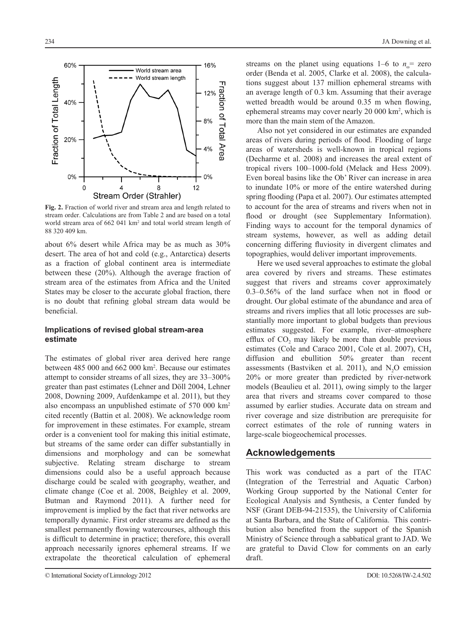**Fig. 2.** Fraction of world river and stream area and length related to stream order. Calculations are from Table 2 and are based on a total world stream area of 662 041 km2 and total world stream length of 88 320 409 km.

about 6% desert while Africa may be as much as 30% desert. The area of hot and cold (e.g., Antarctica) deserts as a fraction of global continent area is intermediate between these (20%). Although the average fraction of stream area of the estimates from Africa and the United States may be closer to the accurate global fraction, there is no doubt that refining global stream data would be beneficial.

#### **Implications of revised global stream-area estimate**

The estimates of global river area derived here range between 485 000 and 662 000 km2 . Because our estimates attempt to consider streams of all sizes, they are 33–300% greater than past estimates (Lehner and Döll 2004, Lehner 2008, Downing 2009, Aufdenkampe et al. 2011), but they also encompass an unpublished estimate of 570 000 km2 cited recently (Battin et al. 2008). We acknowledge room for improvement in these estimates. For example, stream order is a convenient tool for making this initial estimate, but streams of the same order can differ substantially in dimensions and morphology and can be somewhat subjective. Relating stream discharge to stream dimensions could also be a useful approach because discharge could be scaled with geography, weather, and climate change (Coe et al. 2008, Beighley et al. 2009, Butman and Raymond 2011). A further need for improvement is implied by the fact that river networks are temporally dynamic. First order streams are defined as the smallest permanently flowing watercourses, although this is difficult to determine in practice; therefore, this overall approach necessarily ignores ephemeral streams. If we extrapolate the theoretical calculation of ephemeral

© International Society of Limnology 2012

streams on the planet using equations  $1-6$  to  $n_{\infty}$ = zero order (Benda et al. 2005, Clarke et al. 2008), the calculations suggest about 137 million ephemeral streams with an average length of 0.3 km. Assuming that their average wetted breadth would be around 0.35 m when flowing, ephemeral streams may cover nearly 20 000 km2 , which is more than the main stem of the Amazon.

Also not yet considered in our estimates are expanded areas of rivers during periods of flood. Flooding of large areas of watersheds is well-known in tropical regions (Decharme et al. 2008) and increases the areal extent of tropical rivers 100–1000-fold (Melack and Hess 2009). Even boreal basins like the Ob' River can increase in area to inundate 10% or more of the entire watershed during spring flooding (Papa et al. 2007). Our estimates attempted to account for the area of streams and rivers when not in flood or drought (see Supplementary Information). Finding ways to account for the temporal dynamics of stream systems, however, as well as adding detail concerning differing fluviosity in divergent climates and topographies, would deliver important improvements.

Here we used several approaches to estimate the global area covered by rivers and streams. These estimates suggest that rivers and streams cover approximately 0.3–0.56% of the land surface when not in flood or drought. Our global estimate of the abundance and area of streams and rivers implies that all lotic processes are substantially more important to global budgets than previous estimates suggested. For example, river–atmosphere efflux of  $CO<sub>2</sub>$  may likely be more than double previous estimates (Cole and Caraco 2001, Cole et al. 2007),  $CH<sub>4</sub>$ diffusion and ebullition 50% greater than recent assessments (Bastviken et al.  $2011$ ), and N<sub>2</sub>O emission 20% or more greater than predicted by river-network models (Beaulieu et al. 2011), owing simply to the larger area that rivers and streams cover compared to those assumed by earlier studies. Accurate data on stream and river coverage and size distribution are prerequisite for correct estimates of the role of running waters in large-scale biogeochemical processes.

#### **Acknowledgements**

This work was conducted as a part of the ITAC (Integration of the Terrestrial and Aquatic Carbon) Working Group supported by the National Center for Ecological Analysis and Synthesis, a Center funded by NSF (Grant DEB-94-21535), the University of California at Santa Barbara, and the State of California. This contribution also benefited from the support of the Spanish Ministry of Science through a sabbatical grant to JAD. We are grateful to David Clow for comments on an early draft.

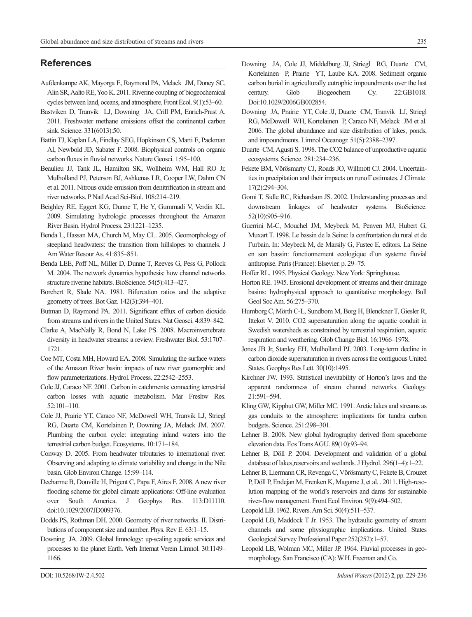# **References**

- Aufdenkampe AK, Mayorga E, Raymond PA, Melack JM, Doney SC, Alin SR, Aalto RE, Yoo K. 2011. Riverine coupling of biogeochemical cycles between land, oceans, and atmosphere. Front Ecol. 9(1):53–60.
- Bastviken D, Tranvik LJ, Downing JA, Crill PM, Enrich-Prast A. 2011. Freshwater methane emissions offset the continental carbon sink. Science. 331(6013):50.
- Battin TJ, Kaplan LA, Findlay SEG, Hopkinson CS, Marti E, Packman AI, Newbold JD, Sabater F. 2008. Biophysical controls on organic carbon fluxes in fluvial networks. Nature Geosci. 1:95–100.
- Beaulieu JJ, Tank JL, Hamilton SK, Wollheim WM, Hall RO Jr, Mulholland PJ, Peterson BJ, Ashkenas LR, Cooper LW, Dahm CN et al. 2011. Nitrous oxide emission from denitrification in stream and river networks. P Natl Acad Sci-Biol. 108:214–219.
- Beighley RE, Eggert KG, Dunne T, He Y, Gummadi V, Verdin KL. 2009. Simulating hydrologic processes throughout the Amazon River Basin. Hydrol Process. 23:1221–1235.
- Benda L, Hassan MA, Church M, May CL. 2005. Geomorphology of steepland headwaters: the transition from hillslopes to channels. J Am Water Resour As. 41:835–851.
- Benda LEE, Poff NL, Miller D, Dunne T, Reeves G, Pess G, Pollock M. 2004. The network dynamics hypothesis: how channel networks structure riverine habitats. BioScience. 54(5):413–427.
- Borchert R, Slade NA. 1981. Bifurcation ratios and the adaptive geometry of trees. Bot Gaz. 142(3):394–401.
- Butman D, Raymond PA. 2011. Significant efflux of carbon dioxide from streams and rivers in the United States. Nat Geosci. 4:839–842.
- Clarke A, MacNally R, Bond N, Lake PS. 2008. Macroinvertebrate diversity in headwater streams: a review. Freshwater Biol. 53:1707– 1721.
- Coe MT, Costa MH, Howard EA. 2008. Simulating the surface waters of the Amazon River basin: impacts of new river geomorphic and flow parameterizations. Hydrol. Process. 22:2542-2553.
- Cole JJ, Caraco NF. 2001. Carbon in catchments: connecting terrestrial carbon losses with aquatic metabolism. Mar Freshw Res. 52:101–110.
- Cole JJ, Prairie YT, Caraco NF, McDowell WH, Tranvik LJ, Striegl RG, Duarte CM, Kortelainen P, Downing JA, Melack JM. 2007. Plumbing the carbon cycle: integrating inland waters into the terrestrial carbon budget. Ecosystems. 10:171–184.
- Conway D. 2005. From headwater tributaries to international river: Observing and adapting to climate variability and change in the Nile basin. Glob Environ Change. 15:99–114.
- Decharme B, Douville H, Prigent C, Papa F, Aires F. 2008. A new river flooding scheme for global climate applications: Off-line evaluation over South America. J Geophys Res. 113:D11110. doi:10.1029/2007JD009376.
- Dodds PS, Rothman DH. 2000. Geometry of river networks. II. Distributions of component size and number. Phys. Rev E. 63:1–15.
- Downing JA. 2009. Global limnology: up-scaling aquatic services and processes to the planet Earth. Verh Internat Verein Limnol. 30:1149– 1166.
- Downing JA, Cole JJ, Middelburg JJ, Striegl RG, Duarte CM, Kortelainen P, Prairie YT, Laube KA. 2008. Sediment organic carbon burial in agriculturally eutrophic impoundments over the last century. Glob Biogeochem Cy. 22:GB1018. Doi:10.1029/2006GB002854.
- Downing JA, Prairie YT, Cole JJ, Duarte CM, Tranvik LJ, Striegl RG, McDowell WH, Kortelainen P, Caraco NF, Melack JM et al. 2006. The global abundance and size distribution of lakes, ponds, and impoundments. Limnol Oceanogr. 51(5):2388–2397.
- Duarte CM, Agusti S. 1998. The CO2 balance of unproductive aquatic ecosystems. Science. 281:234–236.
- Fekete BM, Vörösmarty CJ, Roads JO, Willmott CJ. 2004. Uncertainties in precipitation and their impacts on runoff estimates. J Climate. 17(2):294–304.
- Gomi T, Sidle RC, Richardson JS. 2002. Understanding processes and downstream linkages of headwater systems. BioScience. 52(10):905–916.
- Guerrini M-C, Mouchel JM, Meybeck M, Penven MJ, Hubert G, Muxart T. 1998. Le bassin de la Seine: la confrontation du rural et de l'urbain. In: Meybeck M, de Marsily G, Fustec E, editors. La Seine en son bassin: fonctionnement ecologique d'un systeme fluvial anthropise. Paris (France): Elsevier. p. 29–75.
- Hoffer RL. 1995. Physical Geology. New York: Springhouse.
- Horton RE. 1945. Erosional development of streams and their drainage basins: hydrophysical approach to quantitative morphology. Bull Geol Soc Am. 56:275–370.
- Humborg C, Mörth C-L, Sundbom M, Borg H, Blenckner T, Giesler R, Ittekot V. 2010. CO2 supersaturation along the aquatic conduit in Swedish watersheds as constrained by terrestrial respiration, aquatic respiration and weathering. Glob Change Biol. 16:1966–1978.
- Jones JB Jr, Stanley EH, Mulholland PJ. 2003. Long-term decline in carbon dioxide supersaturation in rivers across the contiguous United States. Geophys Res Lett. 30(10):1495.
- Kirchner JW. 1993. Statistical inevitability of Horton's laws and the apparent randomness of stream channel networks. Geology. 21:591–594.
- Kling GW, Kipphut GW, Miller MC. 1991. Arctic lakes and streams as gas conduits to the atmosphere: implications for tundra carbon budgets. Science. 251:298–301.
- Lehner B. 2008. New global hydrography derived from spaceborne elevation data. Eos Trans AGU. 89(10):93–94.
- Lehner B, Döll P. 2004. Development and validation of a global database of lakes,reservoirs and wetlands. J Hydrol. 296(1–4):1–22.
- Lehner B, Liermann CR, Revenga C, Vörösmarty C, Fekete B, Crouzet P, Döll P, Endejan M, Frenken K, Magome J, et al. . 2011. High-resolution mapping of the world's reservoirs and dams for sustainable river-flow management. Front Ecol Environ. 9(9):494–502.
- Leopold LB. 1962. Rivers. Am Sci. 50(4):511–537.
- Leopold LB, Maddock T Jr. 1953. The hydraulic geometry of stream channels and some physiographic implications. United States Geological Survey Professional Paper 252(252):1–57.
- Leopold LB, Wolman MC, Miller JP. 1964. Fluvial processes in geomorphology. San Francisco (CA): W.H. Freeman and Co.